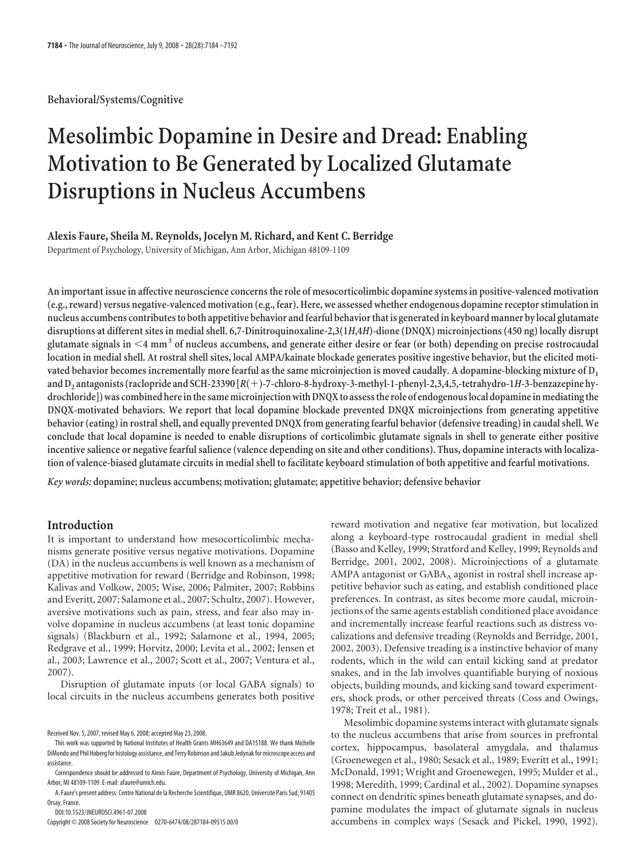**Behavioral/Systems/Cognitive**

# **Mesolimbic Dopamine in Desire and Dread: Enabling Motivation to Be Generated by Localized Glutamate Disruptions in Nucleus Accumbens**

## **Alexis Faure, Sheila M. Reynolds, Jocelyn M. Richard, and Kent C. Berridge**

Department of Psychology, University of Michigan, Ann Arbor, Michigan 48109-1109

**An important issue in affective neuroscience concerns the role of mesocorticolimbic dopamine systems in positive-valenced motivation (e.g., reward) versus negative-valenced motivation (e.g., fear). Here, we assessed whether endogenous dopamine receptor stimulation in nucleus accumbens contributesto both appetitive behavior andfearful behaviorthat is generated in keyboard manner by local glutamate disruptions at different sites in medial shell. 6,7-Dinitroquinoxaline-2,3(1***H***,4***H***)-dione (DNQX) microinjections (450 ng) locally disrupt glutamate signals in 4 mm<sup>3</sup> of nucleus accumbens, and generate either desire or fear (or both) depending on precise rostrocaudal location in medial shell. At rostral shell sites, local AMPA/kainate blockade generates positive ingestive behavior, but the elicited motivated behavior becomes incrementally more fearful as the same microinjection is moved caudally. A dopamine-blocking mixture of D1 and D2 antagonists (raclopride and SCH-23390 [***R***(**-**)-7-chloro-8-hydroxy-3-methyl-1-phenyl-2,3,4,5,-tetrahydro-1***H***-3-benzazepine hy**drochloride]) was combined here in the same microinjection with DNQX to assess the role of endogenous local dopamine in mediating the **DNQX-motivated behaviors. We report that local dopamine blockade prevented DNQX microinjections from generating appetitive behavior (eating) in rostral shell, and equally prevented DNQX from generating fearful behavior (defensive treading) in caudal shell. We conclude that local dopamine is needed to enable disruptions of corticolimbic glutamate signals in shell to generate either positive incentive salience or negative fearful salience (valence depending on site and other conditions). Thus, dopamine interacts with localization of valence-biased glutamate circuits in medial shell to facilitate keyboard stimulation of both appetitive and fearful motivations.**

*Key words:* **dopamine; nucleus accumbens; motivation; glutamate; appetitive behavior; defensive behavior**

## **Introduction**

It is important to understand how mesocorticolimbic mechanisms generate positive versus negative motivations. Dopamine (DA) in the nucleus accumbens is well known as a mechanism of appetitive motivation for reward (Berridge and Robinson, 1998; Kalivas and Volkow, 2005; Wise, 2006; Palmiter, 2007; Robbins and Everitt, 2007; Salamone et al., 2007; Schultz, 2007). However, aversive motivations such as pain, stress, and fear also may involve dopamine in nucleus accumbens (at least tonic dopamine signals) (Blackburn et al., 1992; Salamone et al., 1994, 2005; Redgrave et al., 1999; Horvitz, 2000; Levita et al., 2002; Jensen et al., 2003; Lawrence et al., 2007; Scott et al., 2007; Ventura et al., 2007).

Disruption of glutamate inputs (or local GABA signals) to local circuits in the nucleus accumbens generates both positive

DOI:10.1523/JNEUROSCI.4961-07.2008

Copyright © 2008 Society for Neuroscience 0270-6474/08/287184-09\$15.00/0

reward motivation and negative fear motivation, but localized along a keyboard-type rostrocaudal gradient in medial shell (Basso and Kelley, 1999; Stratford and Kelley, 1999; Reynolds and Berridge, 2001, 2002, 2008). Microinjections of a glutamate AMPA antagonist or  $GABA_A$  agonist in rostral shell increase appetitive behavior such as eating, and establish conditioned place preferences. In contrast, as sites become more caudal, microinjections of the same agents establish conditioned place avoidance and incrementally increase fearful reactions such as distress vocalizations and defensive treading (Reynolds and Berridge, 2001, 2002, 2003). Defensive treading is a instinctive behavior of many rodents, which in the wild can entail kicking sand at predator snakes, and in the lab involves quantifiable burying of noxious objects, building mounds, and kicking sand toward experimenters, shock prods, or other perceived threats (Coss and Owings, 1978; Treit et al., 1981).

Mesolimbic dopamine systems interact with glutamate signals to the nucleus accumbens that arise from sources in prefrontal cortex, hippocampus, basolateral amygdala, and thalamus (Groenewegen et al., 1980; Sesack et al., 1989; Everitt et al., 1991; McDonald, 1991; Wright and Groenewegen, 1995; Mulder et al., 1998; Meredith, 1999; Cardinal et al., 2002). Dopamine synapses connect on dendritic spines beneath glutamate synapses, and dopamine modulates the impact of glutamate signals in nucleus accumbens in complex ways (Sesack and Pickel, 1990, 1992).

Received Nov. 5, 2007; revised May 6, 2008; accepted May 23, 2008.

This work was supported by National Institutes of Health Grants MH63649 and DA15188. We thank Michelle DiMondo and Phil Hoberg for histology assistance, and Terry Robinson and Jakub Jedynak for microscope access and assistance.

Correspondence should be addressed to Alexis Faure, Department of Psychology, University of Michigan, Ann Arbor, MI 48109-1109. E-mail: afaure@umich.edu.

A. Faure's present address: Centre National de la Recherche Scientifique, UMR 8620, Université Paris Sud. 91405 Orsay, France.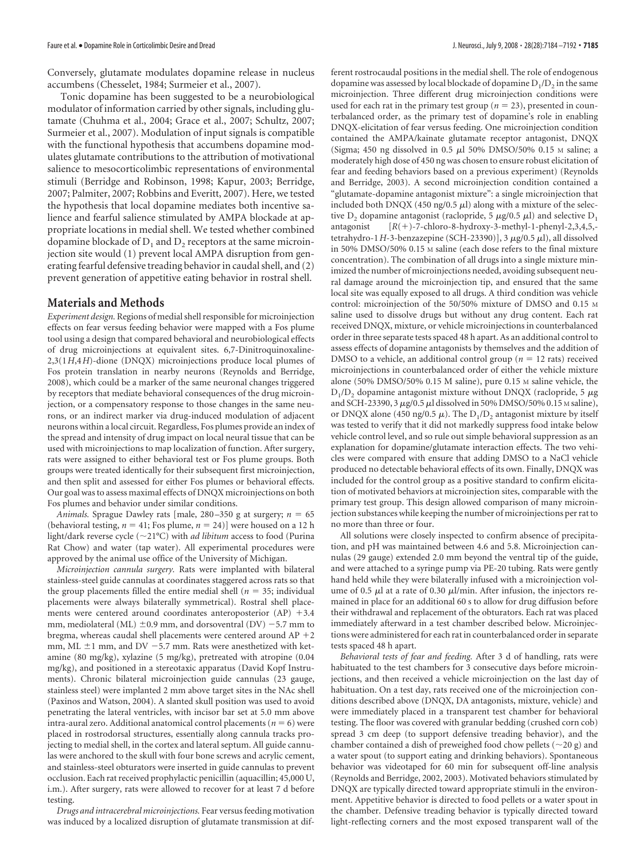Conversely, glutamate modulates dopamine release in nucleus accumbens (Chesselet, 1984; Surmeier et al., 2007).

Tonic dopamine has been suggested to be a neurobiological modulator of information carried by other signals, including glutamate (Chuhma et al., 2004; Grace et al., 2007; Schultz, 2007; Surmeier et al., 2007). Modulation of input signals is compatible with the functional hypothesis that accumbens dopamine modulates glutamate contributions to the attribution of motivational salience to mesocorticolimbic representations of environmental stimuli (Berridge and Robinson, 1998; Kapur, 2003; Berridge, 2007; Palmiter, 2007; Robbins and Everitt, 2007). Here, we tested the hypothesis that local dopamine mediates both incentive salience and fearful salience stimulated by AMPA blockade at appropriate locations in medial shell. We tested whether combined dopamine blockade of  $D_1$  and  $D_2$  receptors at the same microinjection site would (1) prevent local AMPA disruption from generating fearful defensive treading behavior in caudal shell, and (2) prevent generation of appetitive eating behavior in rostral shell.

### **Materials and Methods**

*Experiment design.* Regions of medial shell responsible for microinjection effects on fear versus feeding behavior were mapped with a Fos plume tool using a design that compared behavioral and neurobiological effects of drug microinjections at equivalent sites. 6,7-Dinitroquinoxaline-2,3(1*H*,4*H*)-dione (DNQX) microinjections produce local plumes of Fos protein translation in nearby neurons (Reynolds and Berridge, 2008), which could be a marker of the same neuronal changes triggered by receptors that mediate behavioral consequences of the drug microinjection, or a compensatory response to those changes in the same neurons, or an indirect marker via drug-induced modulation of adjacent neurons within a local circuit. Regardless, Fos plumes provide an index of the spread and intensity of drug impact on local neural tissue that can be used with microinjections to map localization of function. After surgery, rats were assigned to either behavioral test or Fos plume groups. Both groups were treated identically for their subsequent first microinjection, and then split and assessed for either Fos plumes or behavioral effects. Our goal was to assess maximal effects of DNQX microinjections on both Fos plumes and behavior under similar conditions.

*Animals.* Sprague Dawley rats [male,  $280-350$  g at surgery;  $n = 65$ (behavioral testing,  $n = 41$ ; Fos plume,  $n = 24$ )] were housed on a 12 h light/dark reverse cycle (21°C) with *ad libitum* access to food (Purina Rat Chow) and water (tap water). All experimental procedures were approved by the animal use office of the University of Michigan.

*Microinjection cannula surgery.* Rats were implanted with bilateral stainless-steel guide cannulas at coordinates staggered across rats so that the group placements filled the entire medial shell ( $n = 35$ ; individual placements were always bilaterally symmetrical). Rostral shell placements were centered around coordinates anteroposterior (AP) +3.4 mm, mediolateral (ML)  $\pm$ 0.9 mm, and dorsoventral (DV) -5.7 mm to bregma, whereas caudal shell placements were centered around  $AP$  +2  $\,$ mm, ML  $\pm$ 1 mm, and DV  $-5.7$  mm. Rats were anesthetized with ketamine (80 mg/kg), xylazine (5 mg/kg), pretreated with atropine (0.04 mg/kg), and positioned in a stereotaxic apparatus (David Kopf Instruments). Chronic bilateral microinjection guide cannulas (23 gauge, stainless steel) were implanted 2 mm above target sites in the NAc shell (Paxinos and Watson, 2004). A slanted skull position was used to avoid penetrating the lateral ventricles, with incisor bar set at 5.0 mm above intra-aural zero. Additional anatomical control placements ( $n = 6$ ) were placed in rostrodorsal structures, essentially along cannula tracks projecting to medial shell, in the cortex and lateral septum. All guide cannulas were anchored to the skull with four bone screws and acrylic cement, and stainless-steel obturators were inserted in guide cannulas to prevent occlusion. Each rat received prophylactic penicillin (aquacillin; 45,000 U, i.m.). After surgery, rats were allowed to recover for at least 7 d before testing.

*Drugs and intracerebral microinjections.* Fear versus feeding motivation was induced by a localized disruption of glutamate transmission at different rostrocaudal positions in the medial shell. The role of endogenous dopamine was assessed by local blockade of dopamine  $D_1/D_2$  in the same microinjection. Three different drug microinjection conditions were used for each rat in the primary test group ( $n = 23$ ), presented in counterbalanced order, as the primary test of dopamine's role in enabling DNQX-elicitation of fear versus feeding. One microinjection condition contained the AMPA/kainate glutamate receptor antagonist, DNQX (Sigma; 450 ng dissolved in 0.5  $\mu$ l 50% DMSO/50% 0.15 M saline; a moderately high dose of 450 ng was chosen to ensure robust elicitation of fear and feeding behaviors based on a previous experiment) (Reynolds and Berridge, 2003). A second microinjection condition contained a "glutamate-dopamine antagonist mixture": a single microinjection that included both DNQX (450 ng/0.5  $\mu$ l) along with a mixture of the selective  $D_2$  dopamine antagonist (raclopride, 5  $\mu$ g/0.5  $\mu$ l) and selective  $D_1$ antagonist [*R*(- $[R(+)$ -7-chloro-8-hydroxy-3-methyl-1-phenyl-2,3,4,5,tetrahydro-1*H*-3-benzazepine (SCH-23390)], 3  $\mu$ g/0.5  $\mu$ l), all dissolved in 50% DMSO/50% 0.15 M saline (each dose refers to the final mixture concentration). The combination of all drugs into a single mixture minimized the number of microinjections needed, avoiding subsequent neural damage around the microinjection tip, and ensured that the same local site was equally exposed to all drugs. A third condition was vehicle control: microinjection of the 50/50% mixture of DMSO and 0.15 M saline used to dissolve drugs but without any drug content. Each rat received DNQX, mixture, or vehicle microinjections in counterbalanced order in three separate tests spaced 48 h apart. As an additional control to assess effects of dopamine antagonists by themselves and the addition of DMSO to a vehicle, an additional control group ( $n = 12$  rats) received microinjections in counterbalanced order of either the vehicle mixture alone (50% DMSO/50% 0.15 M saline), pure 0.15 M saline vehicle, the  $D_1/D_2$  dopamine antagonist mixture without DNQX (raclopride, 5  $\mu$ g and SCH-23390, 3  $\mu$ g/0.5  $\mu$ l dissolved in 50% DMSO/50% 0.15 M saline), or DNQX alone (450 ng/0.5  $\mu$ ). The D<sub>1</sub>/D<sub>2</sub> antagonist mixture by itself was tested to verify that it did not markedly suppress food intake below vehicle control level, and so rule out simple behavioral suppression as an explanation for dopamine/glutamate interaction effects. The two vehicles were compared with ensure that adding DMSO to a NaCl vehicle produced no detectable behavioral effects of its own. Finally, DNQX was included for the control group as a positive standard to confirm elicitation of motivated behaviors at microinjection sites, comparable with the primary test group. This design allowed comparison of many microinjection substances while keeping the number of microinjections per rat to no more than three or four.

All solutions were closely inspected to confirm absence of precipitation, and pH was maintained between 4.6 and 5.8. Microinjection cannulas (29 gauge) extended 2.0 mm beyond the ventral tip of the guide, and were attached to a syringe pump via PE-20 tubing. Rats were gently hand held while they were bilaterally infused with a microinjection volume of 0.5  $\mu$ l at a rate of 0.30  $\mu$ l/min. After infusion, the injectors remained in place for an additional 60 s to allow for drug diffusion before their withdrawal and replacement of the obturators. Each rat was placed immediately afterward in a test chamber described below. Microinjections were administered for each rat in counterbalanced order in separate tests spaced 48 h apart.

*Behavioral tests of fear and feeding.* After 3 d of handling, rats were habituated to the test chambers for 3 consecutive days before microinjections, and then received a vehicle microinjection on the last day of habituation. On a test day, rats received one of the microinjection conditions described above (DNQX, DA antagonists, mixture, vehicle) and were immediately placed in a transparent test chamber for behavioral testing. The floor was covered with granular bedding (crushed corn cob) spread 3 cm deep (to support defensive treading behavior), and the chamber contained a dish of preweighed food chow pellets ( $\sim$ 20 g) and a water spout (to support eating and drinking behaviors). Spontaneous behavior was videotaped for 60 min for subsequent off-line analysis (Reynolds and Berridge, 2002, 2003). Motivated behaviors stimulated by DNQX are typically directed toward appropriate stimuli in the environment. Appetitive behavior is directed to food pellets or a water spout in the chamber. Defensive treading behavior is typically directed toward light-reflecting corners and the most exposed transparent wall of the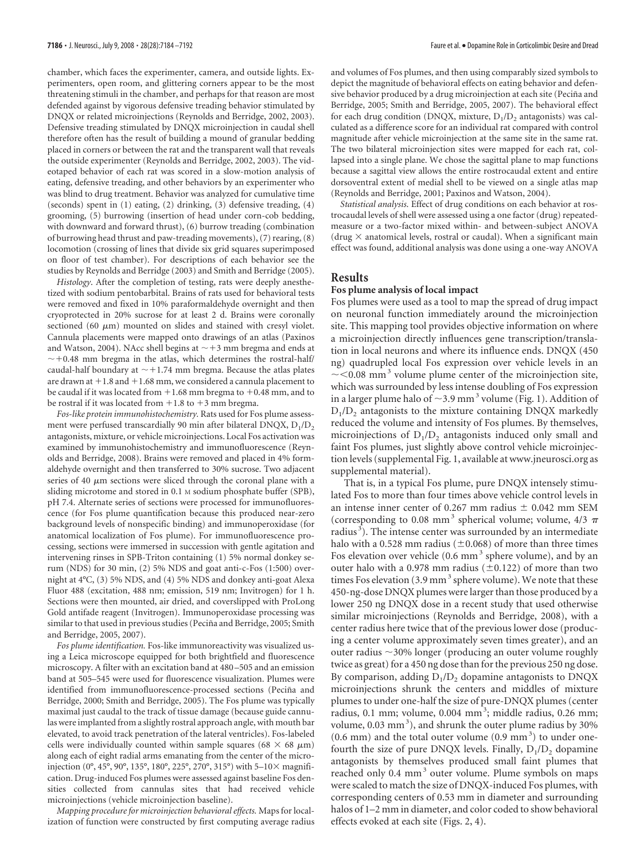chamber, which faces the experimenter, camera, and outside lights. Experimenters, open room, and glittering corners appear to be the most threatening stimuli in the chamber, and perhaps for that reason are most defended against by vigorous defensive treading behavior stimulated by DNQX or related microinjections (Reynolds and Berridge, 2002, 2003). Defensive treading stimulated by DNQX microinjection in caudal shell therefore often has the result of building a mound of granular bedding placed in corners or between the rat and the transparent wall that reveals the outside experimenter (Reynolds and Berridge, 2002, 2003). The videotaped behavior of each rat was scored in a slow-motion analysis of eating, defensive treading, and other behaviors by an experimenter who was blind to drug treatment. Behavior was analyzed for cumulative time (seconds) spent in (1) eating, (2) drinking, (3) defensive treading, (4) grooming, (5) burrowing (insertion of head under corn-cob bedding, with downward and forward thrust), (6) burrow treading (combination of burrowing head thrust and paw-treading movements), (7) rearing, (8) locomotion (crossing of lines that divide six grid squares superimposed on floor of test chamber). For descriptions of each behavior see the studies by Reynolds and Berridge (2003) and Smith and Berridge (2005).

*Histology*. After the completion of testing, rats were deeply anesthetized with sodium pentobarbital. Brains of rats used for behavioral tests were removed and fixed in 10% paraformaldehyde overnight and then cryoprotected in 20% sucrose for at least 2 d. Brains were coronally sectioned (60  $\mu$ m) mounted on slides and stained with cresyl violet. Cannula placements were mapped onto drawings of an atlas (Paxinos and Watson, 2004). NAcc shell begins at  $\sim$  +3 mm bregma and ends at  $\sim$  +0.48 mm bregma in the atlas, which determines the rostral-half/ caudal-half boundary at  $\sim$  +1.74 mm bregma. Because the atlas plates are drawn at  $+1.8$  and  $+1.68$  mm, we considered a cannula placement to be caudal if it was located from  $+1.68$  mm bregma to  $+0.48$  mm, and to be rostral if it was located from  $+1.8$  to  $+3$  mm bregma.

*Fos-like protein immunohistochemistry.* Rats used for Fos plume assessment were perfused transcardially 90 min after bilateral DNQX,  $D_1/D_2$ antagonists, mixture, or vehicle microinjections. Local Fos activation was examined by immunohistochemistry and immunofluorescence (Reynolds and Berridge, 2008). Brains were removed and placed in 4% formaldehyde overnight and then transferred to 30% sucrose. Two adjacent series of 40  $\mu$ m sections were sliced through the coronal plane with a sliding microtome and stored in 0.1 M sodium phosphate buffer (SPB), pH 7.4. Alternate series of sections were processed for immunofluorescence (for Fos plume quantification because this produced near-zero background levels of nonspecific binding) and immunoperoxidase (for anatomical localization of Fos plume). For immunofluorescence processing, sections were immersed in succession with gentle agitation and intervening rinses in SPB-Triton containing (1) 5% normal donkey serum (NDS) for 30 min, (2) 5% NDS and goat anti-c-Fos (1:500) overnight at 4°C, (3) 5% NDS, and (4) 5% NDS and donkey anti-goat Alexa Fluor 488 (excitation, 488 nm; emission, 519 nm; Invitrogen) for 1 h. Sections were then mounted, air dried, and coverslipped with ProLong Gold antifade reagent (Invitrogen). Immunoperoxidase processing was similar to that used in previous studies (Peciña and Berridge, 2005; Smith and Berridge, 2005, 2007).

*Fos plume identification.* Fos-like immunoreactivity was visualized using a Leica microscope equipped for both brightfield and fluorescence microscopy. A filter with an excitation band at 480 –505 and an emission band at 505–545 were used for fluorescence visualization. Plumes were identified from immunofluorescence-processed sections (Peciña and Berridge, 2000; Smith and Berridge, 2005). The Fos plume was typically maximal just caudal to the track of tissue damage (because guide cannulas were implanted from a slightly rostral approach angle, with mouth bar elevated, to avoid track penetration of the lateral ventricles). Fos-labeled cells were individually counted within sample squares (68  $\times$  68  $\mu$ m) along each of eight radial arms emanating from the center of the microinjection (0°, 45°, 90°, 135°, 180°, 225°, 270°, 315°) with 5–10 $\times$  magnification. Drug-induced Fos plumes were assessed against baseline Fos densities collected from cannulas sites that had received vehicle microinjections (vehicle microinjection baseline).

*Mapping procedure for microinjection behavioral effects.* Maps for localization of function were constructed by first computing average radius and volumes of Fos plumes, and then using comparably sized symbols to depict the magnitude of behavioral effects on eating behavior and defensive behavior produced by a drug microinjection at each site (Peciña and Berridge, 2005; Smith and Berridge, 2005, 2007). The behavioral effect for each drug condition (DNQX, mixture,  $D_1/D_2$  antagonists) was calculated as a difference score for an individual rat compared with control magnitude after vehicle microinjection at the same site in the same rat. The two bilateral microinjection sites were mapped for each rat, collapsed into a single plane. We chose the sagittal plane to map functions because a sagittal view allows the entire rostrocaudal extent and entire dorsoventral extent of medial shell to be viewed on a single atlas map (Reynolds and Berridge, 2001; Paxinos and Watson, 2004).

*Statistical analysis*. Effect of drug conditions on each behavior at rostrocaudal levels of shell were assessed using a one factor (drug) repeatedmeasure or a two-factor mixed within- and between-subject ANOVA (drug  $\times$  anatomical levels, rostral or caudal). When a significant main effect was found, additional analysis was done using a one-way ANOVA

## **Results**

## **Fos plume analysis of local impact**

Fos plumes were used as a tool to map the spread of drug impact on neuronal function immediately around the microinjection site. This mapping tool provides objective information on where a microinjection directly influences gene transcription/translation in local neurons and where its influence ends. DNQX (450 ng) quadrupled local Fos expression over vehicle levels in an  $\sim$  <0.08 mm<sup>3</sup> volume plume center of the microinjection site, which was surrounded by less intense doubling of Fos expression in a larger plume halo of  $\sim$ 3.9 mm<sup>3</sup> volume (Fig. 1). Addition of  $D_1/D_2$  antagonists to the mixture containing DNQX markedly reduced the volume and intensity of Fos plumes. By themselves, microinjections of  $D_1/D_2$  antagonists induced only small and faint Fos plumes, just slightly above control vehicle microinjection levels (supplemental Fig. 1, available at www.jneurosci.org as supplemental material).

That is, in a typical Fos plume, pure DNQX intensely stimulated Fos to more than four times above vehicle control levels in an intense inner center of 0.267 mm radius  $\pm$  0.042 mm SEM (corresponding to 0.08 mm<sup>3</sup> spherical volume; volume,  $4/3 \pi$ radius<sup>3</sup>). The intense center was surrounded by an intermediate halo with a 0.528 mm radius ( $\pm$ 0.068) of more than three times Fos elevation over vehicle  $(0.6 \text{ mm}^3 \text{ sphere volume})$ , and by an outer halo with a 0.978 mm radius ( $\pm$ 0.122) of more than two times Fos elevation  $(3.9 \text{ mm}^3 \text{ sphere volume})$ . We note that these 450-ng-dose DNQX plumes were larger than those produced by a lower 250 ng DNQX dose in a recent study that used otherwise similar microinjections (Reynolds and Berridge, 2008), with a center radius here twice that of the previous lower dose (producing a center volume approximately seven times greater), and an outer radius  $\sim$ 30% longer (producing an outer volume roughly twice as great) for a 450 ng dose than for the previous 250 ng dose. By comparison, adding  $D_1/D_2$  dopamine antagonists to DNQX microinjections shrunk the centers and middles of mixture plumes to under one-half the size of pure-DNQX plumes (center radius, 0.1 mm; volume, 0.004 mm<sup>3</sup>; middle radius, 0.26 mm; volume, 0.03 mm<sup>3</sup>), and shrunk the outer plume radius by 30%  $(0.6 \text{ mm})$  and the total outer volume  $(0.9 \text{ mm}^3)$  to under onefourth the size of pure DNQX levels. Finally,  $D_1/D_2$  dopamine antagonists by themselves produced small faint plumes that reached only 0.4 mm<sup>3</sup> outer volume. Plume symbols on maps were scaled to match the size of DNQX-induced Fos plumes, with corresponding centers of 0.53 mm in diameter and surrounding halos of 1–2 mm in diameter, and color coded to show behavioral effects evoked at each site (Figs. 2, 4).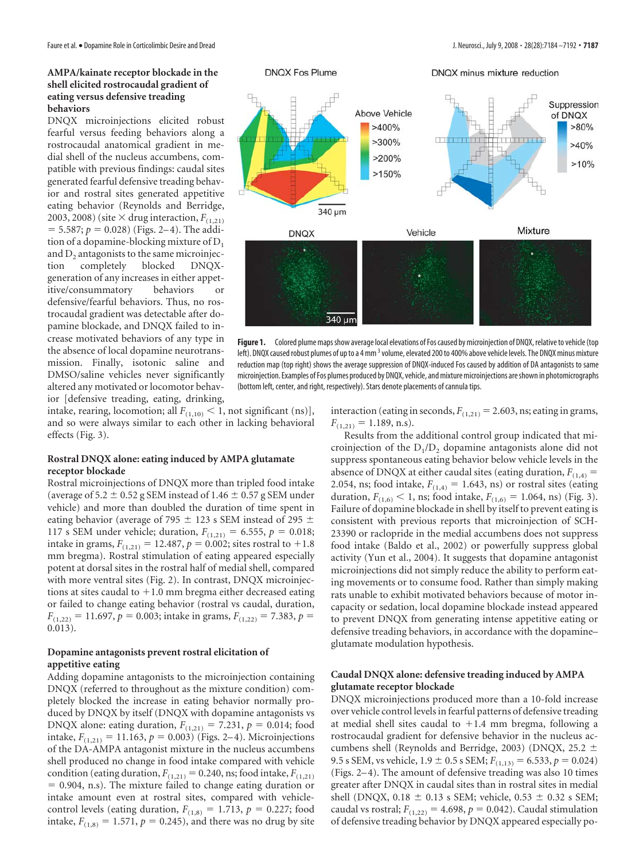## **AMPA/kainate receptor blockade in the shell elicited rostrocaudal gradient of eating versus defensive treading behaviors**

DNQX microinjections elicited robust fearful versus feeding behaviors along a rostrocaudal anatomical gradient in medial shell of the nucleus accumbens, compatible with previous findings: caudal sites generated fearful defensive treading behavior and rostral sites generated appetitive eating behavior (Reynolds and Berridge, 2003, 2008) (site  $\times$  drug interaction,  $F_{(1,21)}$  $=$  5.587;  $p = 0.028$ ) (Figs. 2–4). The addition of a dopamine-blocking mixture of  $D_1$ and  $D_2$  antagonists to the same microinjection completely blocked DNQXcompletely generation of any increases in either appetitive/consummatory behaviors or defensive/fearful behaviors. Thus, no rostrocaudal gradient was detectable after dopamine blockade, and DNQX failed to increase motivated behaviors of any type in the absence of local dopamine neurotransmission. Finally, isotonic saline and DMSO/saline vehicles never significantly altered any motivated or locomotor behavior [defensive treading, eating, drinking,



Figure 1. Colored plume maps show average local elevations of Fos caused by microinjection of DNQX, relative to vehicle (top left). DNQX caused robust plumes of up to a 4 mm <sup>3</sup> volume, elevated 200 to 400% above vehicle levels. The DNQX minus mixture reduction map (top right) shows the average suppression of DNQX-induced Fos caused by addition of DA antagonists to same microinjection. Examples of Fos plumes produced by DNQX, vehicle, and mixture microinjections are shown in photomicrographs (bottom left, center, and right, respectively). Stars denote placements of cannula tips.

intake, rearing, locomotion; all  $F_{(1,10)} < 1$ , not significant (ns)], and so were always similar to each other in lacking behavioral effects (Fig. 3).

## **Rostral DNQX alone: eating induced by AMPA glutamate receptor blockade**

Rostral microinjections of DNQX more than tripled food intake (average of  $5.2 \pm 0.52$  g SEM instead of 1.46  $\pm$  0.57 g SEM under vehicle) and more than doubled the duration of time spent in eating behavior (average of 795  $\pm$  123 s SEM instead of 295  $\pm$ 117 s SEM under vehicle; duration,  $F_{(1,21)} = 6.555$ ,  $p = 0.018$ ; intake in grams,  $F_{(1,21)} = 12.487, p = 0.002$ ; sites rostral to  $+1.8$ mm bregma). Rostral stimulation of eating appeared especially potent at dorsal sites in the rostral half of medial shell, compared with more ventral sites (Fig. 2). In contrast, DNQX microinjections at sites caudal to  $+1.0$  mm bregma either decreased eating or failed to change eating behavior (rostral vs caudal, duration,  $F_{(1,22)} = 11.697$ ,  $p = 0.003$ ; intake in grams,  $F_{(1,22)} = 7.383$ ,  $p =$ 0.013).

## **Dopamine antagonists prevent rostral elicitation of appetitive eating**

Adding dopamine antagonists to the microinjection containing DNQX (referred to throughout as the mixture condition) completely blocked the increase in eating behavior normally produced by DNQX by itself (DNQX with dopamine antagonists vs DNQX alone: eating duration,  $F_{(1,21)} = 7.231$ ,  $p = 0.014$ ; food intake,  $F_{(1,21)} = 11.163$ ,  $p = 0.003$ ) (Figs. 2–4). Microinjections of the DA-AMPA antagonist mixture in the nucleus accumbens shell produced no change in food intake compared with vehicle condition (eating duration,  $F_{(1,21)} = 0.240$ , ns; food intake,  $F_{(1,21)}$  $= 0.904$ , n.s). The mixture failed to change eating duration or intake amount even at rostral sites, compared with vehiclecontrol levels (eating duration,  $F_{(1,8)} = 1.713$ ,  $p = 0.227$ ; food intake,  $F_{(1,8)} = 1.571$ ,  $p = 0.245$ ), and there was no drug by site interaction (eating in seconds,  $F_{(1,21)} = 2.603$ , ns; eating in grams,  $F_{(1,21)} = 1.189$ , n.s).

Results from the additional control group indicated that microinjection of the  $D_1/D_2$  dopamine antagonists alone did not suppress spontaneous eating behavior below vehicle levels in the absence of DNQX at either caudal sites (eating duration,  $F_{(1,4)}$  = 2.054, ns; food intake,  $F_{(1,4)} = 1.643$ , ns) or rostral sites (eating duration,  $F_{(1,6)} < 1$ , ns; food intake,  $F_{(1,6)} = 1.064$ , ns) (Fig. 3). Failure of dopamine blockade in shell by itself to prevent eating is consistent with previous reports that microinjection of SCH-23390 or raclopride in the medial accumbens does not suppress food intake (Baldo et al., 2002) or powerfully suppress global activity (Yun et al., 2004). It suggests that dopamine antagonist microinjections did not simply reduce the ability to perform eating movements or to consume food. Rather than simply making rats unable to exhibit motivated behaviors because of motor incapacity or sedation, local dopamine blockade instead appeared to prevent DNQX from generating intense appetitive eating or defensive treading behaviors, in accordance with the dopamine– glutamate modulation hypothesis.

## **Caudal DNQX alone: defensive treading induced by AMPA glutamate receptor blockade**

DNQX microinjections produced more than a 10-fold increase over vehicle control levels in fearful patterns of defensive treading at medial shell sites caudal to +1.4 mm bregma, following a rostrocaudal gradient for defensive behavior in the nucleus accumbens shell (Reynolds and Berridge, 2003) (DNQX, 25.2  $\pm$ 9.5 s SEM, vs vehicle,  $1.9 \pm 0.5$  s SEM;  $F_{(1,13)} = 6.533$ ,  $p = 0.024$ ) (Figs. 2–4). The amount of defensive treading was also 10 times greater after DNQX in caudal sites than in rostral sites in medial shell (DNQX, 0.18  $\pm$  0.13 s SEM; vehicle, 0.53  $\pm$  0.32 s SEM; caudal vs rostral;  $F_{(1,22)} = 4.698$ ,  $p = 0.042$ ). Caudal stimulation of defensive treading behavior by DNQX appeared especially po-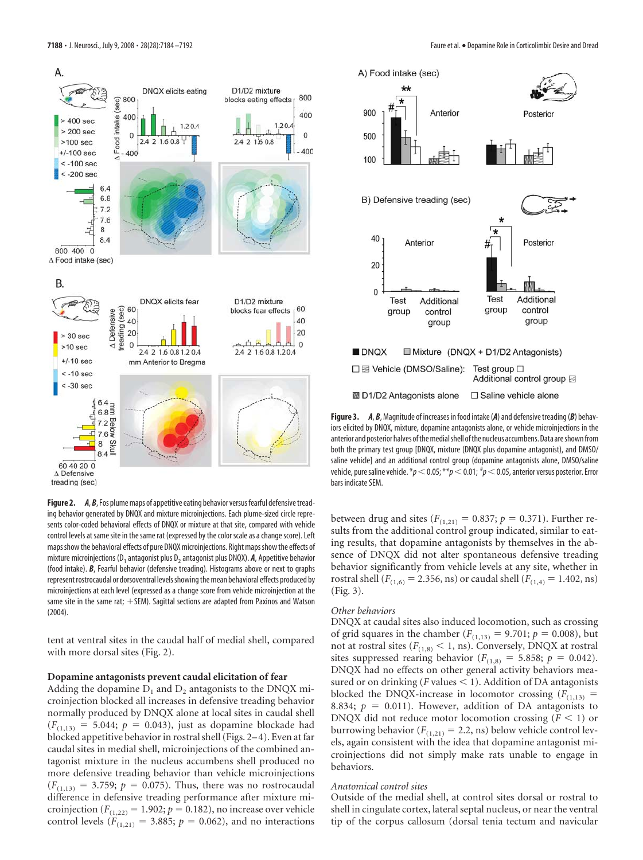

**Figure 2.** *A, B,* Fos plume maps of appetitive eating behavior versus fearful defensive treading behavior generated by DNQX and mixture microinjections. Each plume-sized circle represents color-coded behavioral effects of DNQX or mixture at that site, compared with vehicle control levels at same site in the same rat (expressed by the color scale as a change score). Left maps show the behavioral effects of pure DNQX microinjections. Right maps show the effects of mixture microinjections (D<sub>1</sub> antagonist plus D<sub>2</sub> antagonist plus DNQX). **A**, Appetitive behavior (food intake). *B*, Fearful behavior (defensive treading). Histograms above or next to graphs represent rostrocaudal or dorsoventral levels showing the mean behavioral effects produced by microinjections at each level (expressed as a change score from vehicle microinjection at the same site in the same rat;  $+$  SEM). Sagittal sections are adapted from Paxinos and Watson (2004).

tent at ventral sites in the caudal half of medial shell, compared with more dorsal sites (Fig. 2).

#### **Dopamine antagonists prevent caudal elicitation of fear**

Adding the dopamine  $D_1$  and  $D_2$  antagonists to the DNQX microinjection blocked all increases in defensive treading behavior normally produced by DNQX alone at local sites in caudal shell  $(F_{(1,13)} = 5.044; p = 0.043)$ , just as dopamine blockade had blocked appetitive behavior in rostral shell (Figs. 2–4). Even at far caudal sites in medial shell, microinjections of the combined antagonist mixture in the nucleus accumbens shell produced no more defensive treading behavior than vehicle microinjections  $(F_{(1,13)} = 3.759; p = 0.075)$ . Thus, there was no rostrocaudal difference in defensive treading performance after mixture microinjection  $(F_{(1,22)} = 1.902; p = 0.182)$ , no increase over vehicle control levels  $(F_{(1,21)} = 3.885; p = 0.062)$ , and no interactions



**Figure 3.** *A*, *B*, Magnitude of increases in food intake (*A*) and defensive treading (*B*) behaviors elicited by DNQX, mixture, dopamine antagonists alone, or vehicle microinjections in the anterior and posterior halves of the medial shell of the nucleus accumbens. Data are shown from both the primary test group [DNQX, mixture (DNQX plus dopamine antagonist), and DMSO/ saline vehicle] and an additional control group (dopamine antagonists alone, DMSO/saline vehicle, pure saline vehicle. \* $p$   $<$  0.05; \*\* $p$   $<$  0.01;  $^{\#}p$   $<$  0.05, anterior versus posterior. Error bars indicate SEM.

between drug and sites ( $F_{(1,21)} = 0.837$ ;  $p = 0.371$ ). Further results from the additional control group indicated, similar to eating results, that dopamine antagonists by themselves in the absence of DNQX did not alter spontaneous defensive treading behavior significantly from vehicle levels at any site, whether in rostral shell ( $F_{(1,6)} = 2.356$ , ns) or caudal shell ( $F_{(1,4)} = 1.402$ , ns) (Fig. 3).

#### *Other behaviors*

DNQX at caudal sites also induced locomotion, such as crossing of grid squares in the chamber ( $F_{(1,13)} = 9.701$ ;  $p = 0.008$ ), but not at rostral sites ( $F_{(1,8)} < 1$ , ns). Conversely, DNQX at rostral sites suppressed rearing behavior  $(F<sub>(1,8)</sub> = 5.858; p = 0.042)$ . DNQX had no effects on other general activity behaviors measured or on drinking ( $F$  values  $\leq$  1). Addition of DA antagonists blocked the DNQX-increase in locomotor crossing  $(F_{(1,13)})$  = 8.834;  $p = 0.011$ ). However, addition of DA antagonists to DNQX did not reduce motor locomotion crossing  $(F \leq 1)$  or burrowing behavior ( $F_{(1,21)} = 2.2$ , ns) below vehicle control levels, again consistent with the idea that dopamine antagonist microinjections did not simply make rats unable to engage in behaviors.

## *Anatomical control sites*

Outside of the medial shell, at control sites dorsal or rostral to shell in cingulate cortex, lateral septal nucleus, or near the ventral tip of the corpus callosum (dorsal tenia tectum and navicular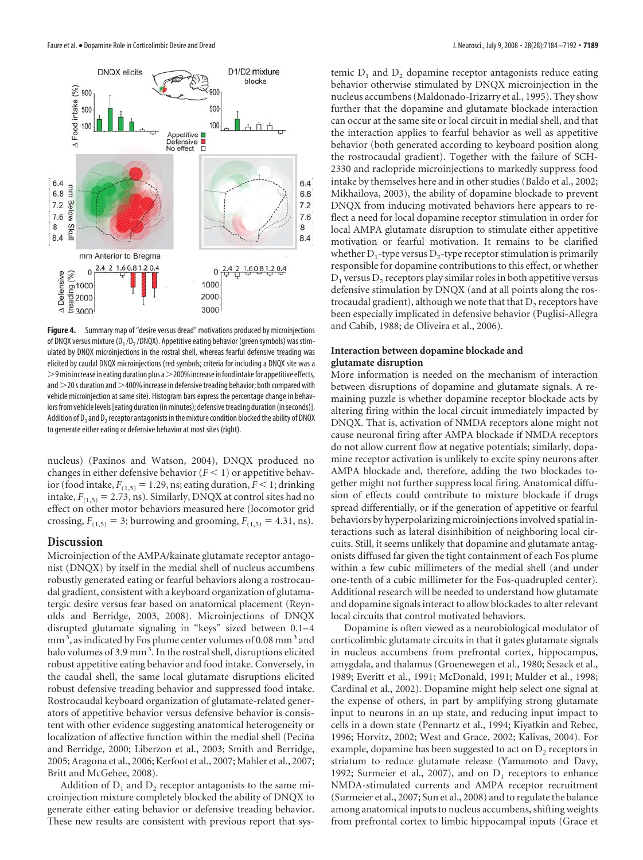

**Figure 4.** Summary map of "desire versus dread" motivations produced by microinjections of DNQX versus mixture ( $D_1/D_2/DNQX$ ). Appetitive eating behavior (green symbols) was stimulated by DNQX microinjections in the rostral shell, whereas fearful defensive treading was elicited by caudal DNQX microinjections (red symbols; criteria for including a DNQX site was a  $>$ 9 min increase in eating duration plus a $>$ 200% increase in food intake for appetitive effects, and  $>$  20 s duration and  $>$  400% increase in defensive treading behavior; both compared with vehicle microinjection at same site). Histogram bars express the percentage change in behaviors from vehicle levels [eating duration (in minutes); defensive treading duration (in seconds)]. Addition of  $D_1$  and  $D_2$  receptor antagonists in the mixture condition blocked the ability of DNQX to generate either eating or defensive behavior at most sites (right).

nucleus) (Paxinos and Watson, 2004), DNQX produced no changes in either defensive behavior  $(F < 1)$  or appetitive behavior (food intake,  $F_{(1,5)} = 1.29$ , ns; eating duration,  $F < 1$ ; drinking intake,  $F_{(1,5)} = 2.73$ , ns). Similarly, DNQX at control sites had no effect on other motor behaviors measured here (locomotor grid crossing,  $F_{(1,5)} = 3$ ; burrowing and grooming,  $F_{(1,5)} = 4.31$ , ns).

### **Discussion**

Microinjection of the AMPA/kainate glutamate receptor antagonist (DNQX) by itself in the medial shell of nucleus accumbens robustly generated eating or fearful behaviors along a rostrocaudal gradient, consistent with a keyboard organization of glutamatergic desire versus fear based on anatomical placement (Reynolds and Berridge, 2003, 2008). Microinjections of DNQX disrupted glutamate signaling in "keys" sized between 0.1–4 mm<sup>3</sup>, as indicated by Fos plume center volumes of 0.08 mm<sup>3</sup> and halo volumes of 3.9 mm<sup>3</sup>. In the rostral shell, disruptions elicited robust appetitive eating behavior and food intake. Conversely, in the caudal shell, the same local glutamate disruptions elicited robust defensive treading behavior and suppressed food intake. Rostrocaudal keyboard organization of glutamate-related generators of appetitive behavior versus defensive behavior is consistent with other evidence suggesting anatomical heterogeneity or localization of affective function within the medial shell (Peciña and Berridge, 2000; Liberzon et al., 2003; Smith and Berridge, 2005; Aragona et al., 2006; Kerfoot et al., 2007; Mahler et al., 2007; Britt and McGehee, 2008).

Addition of  $D_1$  and  $D_2$  receptor antagonists to the same microinjection mixture completely blocked the ability of DNQX to generate either eating behavior or defensive treading behavior. These new results are consistent with previous report that systemic  $D_1$  and  $D_2$  dopamine receptor antagonists reduce eating behavior otherwise stimulated by DNQX microinjection in the nucleus accumbens (Maldonado-Irizarry et al., 1995). They show further that the dopamine and glutamate blockade interaction can occur at the same site or local circuit in medial shell, and that the interaction applies to fearful behavior as well as appetitive behavior (both generated according to keyboard position along the rostrocaudal gradient). Together with the failure of SCH-2330 and raclopride microinjections to markedly suppress food intake by themselves here and in other studies (Baldo et al., 2002; Mikhailova, 2003), the ability of dopamine blockade to prevent DNQX from inducing motivated behaviors here appears to reflect a need for local dopamine receptor stimulation in order for local AMPA glutamate disruption to stimulate either appetitive motivation or fearful motivation. It remains to be clarified whether  $D_1$ -type versus  $D_2$ -type receptor stimulation is primarily responsible for dopamine contributions to this effect, or whether  $D_1$  versus  $D_2$  receptors play similar roles in both appetitive versus defensive stimulation by DNQX (and at all points along the rostrocaudal gradient), although we note that that  $D_2$  receptors have been especially implicated in defensive behavior (Puglisi-Allegra and Cabib, 1988; de Oliveira et al., 2006).

## **Interaction between dopamine blockade and glutamate disruption**

More information is needed on the mechanism of interaction between disruptions of dopamine and glutamate signals. A remaining puzzle is whether dopamine receptor blockade acts by altering firing within the local circuit immediately impacted by DNQX. That is, activation of NMDA receptors alone might not cause neuronal firing after AMPA blockade if NMDA receptors do not allow current flow at negative potentials; similarly, dopamine receptor activation is unlikely to excite spiny neurons after AMPA blockade and, therefore, adding the two blockades together might not further suppress local firing. Anatomical diffusion of effects could contribute to mixture blockade if drugs spread differentially, or if the generation of appetitive or fearful behaviors by hyperpolarizing microinjections involved spatial interactions such as lateral disinhibition of neighboring local circuits. Still, it seems unlikely that dopamine and glutamate antagonists diffused far given the tight containment of each Fos plume within a few cubic millimeters of the medial shell (and under one-tenth of a cubic millimeter for the Fos-quadrupled center). Additional research will be needed to understand how glutamate and dopamine signals interact to allow blockades to alter relevant local circuits that control motivated behaviors.

Dopamine is often viewed as a neurobiological modulator of corticolimbic glutamate circuits in that it gates glutamate signals in nucleus accumbens from prefrontal cortex, hippocampus, amygdala, and thalamus (Groenewegen et al., 1980; Sesack et al., 1989; Everitt et al., 1991; McDonald, 1991; Mulder et al., 1998; Cardinal et al., 2002). Dopamine might help select one signal at the expense of others, in part by amplifying strong glutamate input to neurons in an up state, and reducing input impact to cells in a down state (Pennartz et al., 1994; Kiyatkin and Rebec, 1996; Horvitz, 2002; West and Grace, 2002; Kalivas, 2004). For example, dopamine has been suggested to act on  $D_2$  receptors in striatum to reduce glutamate release (Yamamoto and Davy, 1992; Surmeier et al., 2007), and on  $D_1$  receptors to enhance NMDA-stimulated currents and AMPA receptor recruitment (Surmeier et al., 2007; Sun et al., 2008) and to regulate the balance among anatomical inputs to nucleus accumbens, shifting weights from prefrontal cortex to limbic hippocampal inputs (Grace et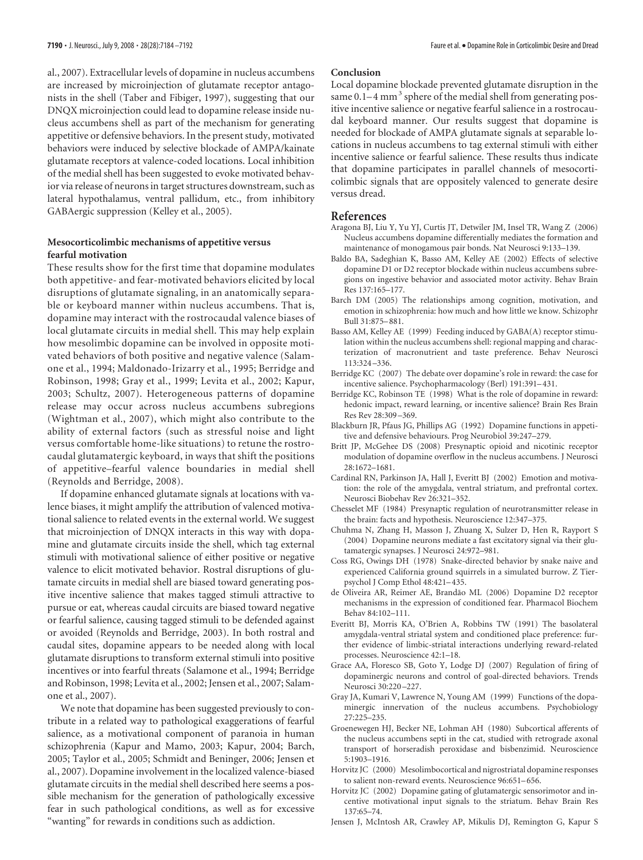al., 2007). Extracellular levels of dopamine in nucleus accumbens are increased by microinjection of glutamate receptor antagonists in the shell (Taber and Fibiger, 1997), suggesting that our DNQX microinjection could lead to dopamine release inside nucleus accumbens shell as part of the mechanism for generating appetitive or defensive behaviors. In the present study, motivated behaviors were induced by selective blockade of AMPA/kainate glutamate receptors at valence-coded locations. Local inhibition of the medial shell has been suggested to evoke motivated behavior via release of neurons in target structures downstream, such as lateral hypothalamus, ventral pallidum, etc., from inhibitory GABAergic suppression (Kelley et al., 2005).

## **Mesocorticolimbic mechanisms of appetitive versus fearful motivation**

These results show for the first time that dopamine modulates both appetitive- and fear-motivated behaviors elicited by local disruptions of glutamate signaling, in an anatomically separable or keyboard manner within nucleus accumbens. That is, dopamine may interact with the rostrocaudal valence biases of local glutamate circuits in medial shell. This may help explain how mesolimbic dopamine can be involved in opposite motivated behaviors of both positive and negative valence (Salamone et al., 1994; Maldonado-Irizarry et al., 1995; Berridge and Robinson, 1998; Gray et al., 1999; Levita et al., 2002; Kapur, 2003; Schultz, 2007). Heterogeneous patterns of dopamine release may occur across nucleus accumbens subregions (Wightman et al., 2007), which might also contribute to the ability of external factors (such as stressful noise and light versus comfortable home-like situations) to retune the rostrocaudal glutamatergic keyboard, in ways that shift the positions of appetitive–fearful valence boundaries in medial shell (Reynolds and Berridge, 2008).

If dopamine enhanced glutamate signals at locations with valence biases, it might amplify the attribution of valenced motivational salience to related events in the external world. We suggest that microinjection of DNQX interacts in this way with dopamine and glutamate circuits inside the shell, which tag external stimuli with motivational salience of either positive or negative valence to elicit motivated behavior. Rostral disruptions of glutamate circuits in medial shell are biased toward generating positive incentive salience that makes tagged stimuli attractive to pursue or eat, whereas caudal circuits are biased toward negative or fearful salience, causing tagged stimuli to be defended against or avoided (Reynolds and Berridge, 2003). In both rostral and caudal sites, dopamine appears to be needed along with local glutamate disruptions to transform external stimuli into positive incentives or into fearful threats (Salamone et al., 1994; Berridge and Robinson, 1998; Levita et al., 2002; Jensen et al., 2007; Salamone et al., 2007).

We note that dopamine has been suggested previously to contribute in a related way to pathological exaggerations of fearful salience, as a motivational component of paranoia in human schizophrenia (Kapur and Mamo, 2003; Kapur, 2004; Barch, 2005; Taylor et al., 2005; Schmidt and Beninger, 2006; Jensen et al., 2007). Dopamine involvement in the localized valence-biased glutamate circuits in the medial shell described here seems a possible mechanism for the generation of pathologically excessive fear in such pathological conditions, as well as for excessive "wanting" for rewards in conditions such as addiction.

#### **Conclusion**

Local dopamine blockade prevented glutamate disruption in the same  $0.1-4$  mm<sup>3</sup> sphere of the medial shell from generating positive incentive salience or negative fearful salience in a rostrocaudal keyboard manner. Our results suggest that dopamine is needed for blockade of AMPA glutamate signals at separable locations in nucleus accumbens to tag external stimuli with either incentive salience or fearful salience. These results thus indicate that dopamine participates in parallel channels of mesocorticolimbic signals that are oppositely valenced to generate desire versus dread.

#### **References**

- Aragona BJ, Liu Y, Yu YJ, Curtis JT, Detwiler JM, Insel TR, Wang Z (2006) Nucleus accumbens dopamine differentially mediates the formation and maintenance of monogamous pair bonds. Nat Neurosci 9:133–139.
- Baldo BA, Sadeghian K, Basso AM, Kelley AE (2002) Effects of selective dopamine D1 or D2 receptor blockade within nucleus accumbens subregions on ingestive behavior and associated motor activity. Behav Brain Res 137:165–177.
- Barch DM (2005) The relationships among cognition, motivation, and emotion in schizophrenia: how much and how little we know. Schizophr Bull 31:875–881.
- Basso AM, Kelley AE (1999) Feeding induced by GABA(A) receptor stimulation within the nucleus accumbens shell: regional mapping and characterization of macronutrient and taste preference. Behav Neurosci 113:324 –336.
- Berridge KC (2007) The debate over dopamine's role in reward: the case for incentive salience. Psychopharmacology (Berl) 191:391–431.
- Berridge KC, Robinson TE (1998) What is the role of dopamine in reward: hedonic impact, reward learning, or incentive salience? Brain Res Brain Res Rev 28:309 –369.
- Blackburn JR, Pfaus JG, Phillips AG (1992) Dopamine functions in appetitive and defensive behaviours. Prog Neurobiol 39:247–279.
- Britt JP, McGehee DS (2008) Presynaptic opioid and nicotinic receptor modulation of dopamine overflow in the nucleus accumbens. J Neurosci 28:1672–1681.
- Cardinal RN, Parkinson JA, Hall J, Everitt BJ (2002) Emotion and motivation: the role of the amygdala, ventral striatum, and prefrontal cortex. Neurosci Biobehav Rev 26:321–352.
- Chesselet MF (1984) Presynaptic regulation of neurotransmitter release in the brain: facts and hypothesis. Neuroscience 12:347–375.
- Chuhma N, Zhang H, Masson J, Zhuang X, Sulzer D, Hen R, Rayport S (2004) Dopamine neurons mediate a fast excitatory signal via their glutamatergic synapses. J Neurosci 24:972–981.
- Coss RG, Owings DH (1978) Snake-directed behavior by snake naive and experienced California ground squirrels in a simulated burrow. Z Tierpsychol J Comp Ethol 48:421–435.
- de Oliveira AR, Reimer AE, Brandão ML (2006) Dopamine D2 receptor mechanisms in the expression of conditioned fear. Pharmacol Biochem Behav 84:102–111.
- Everitt BJ, Morris KA, O'Brien A, Robbins TW (1991) The basolateral amygdala-ventral striatal system and conditioned place preference: further evidence of limbic-striatal interactions underlying reward-related processes. Neuroscience 42:1–18.
- Grace AA, Floresco SB, Goto Y, Lodge DJ (2007) Regulation of firing of dopaminergic neurons and control of goal-directed behaviors. Trends Neurosci 30:220 –227.
- Gray JA, Kumari V, Lawrence N, Young AM (1999) Functions of the dopaminergic innervation of the nucleus accumbens. Psychobiology 27:225–235.
- Groenewegen HJ, Becker NE, Lohman AH (1980) Subcortical afferents of the nucleus accumbens septi in the cat, studied with retrograde axonal transport of horseradish peroxidase and bisbenzimid. Neuroscience 5:1903–1916.
- Horvitz JC (2000) Mesolimbocortical and nigrostriatal dopamine responses to salient non-reward events. Neuroscience 96:651–656.
- Horvitz JC (2002) Dopamine gating of glutamatergic sensorimotor and incentive motivational input signals to the striatum. Behav Brain Res 137:65–74.
- Jensen J, McIntosh AR, Crawley AP, Mikulis DJ, Remington G, Kapur S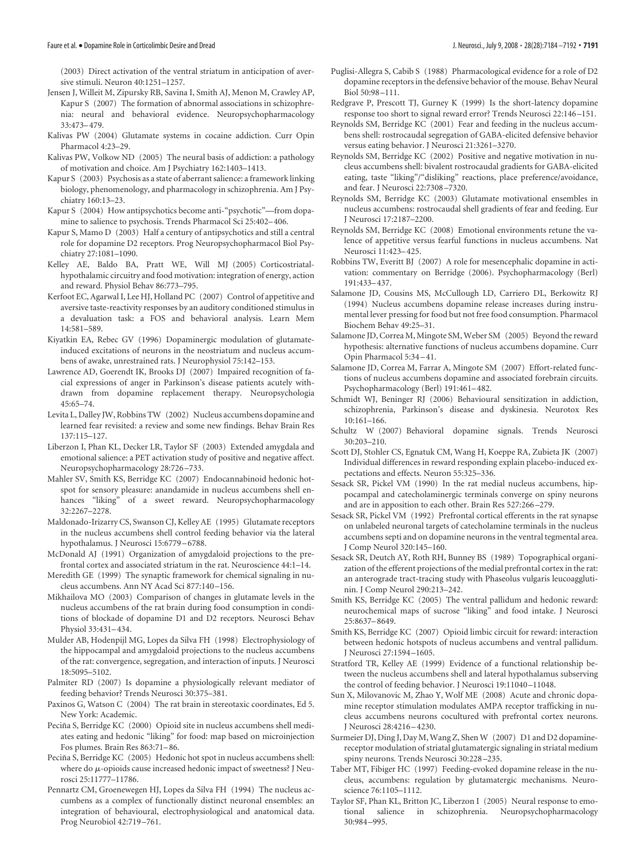#### Faure et al. • Dopamine Role in Corticolimbic Desire and Dread J. Neurosci., July 9, 2008 • 28(28):7184 –7192 **• 7191**

(2003) Direct activation of the ventral striatum in anticipation of aversive stimuli. Neuron 40:1251–1257.

- Jensen J, Willeit M, Zipursky RB, Savina I, Smith AJ, Menon M, Crawley AP, Kapur S (2007) The formation of abnormal associations in schizophrenia: neural and behavioral evidence. Neuropsychopharmacology 33:473–479.
- Kalivas PW (2004) Glutamate systems in cocaine addiction. Curr Opin Pharmacol 4:23–29.
- Kalivas PW, Volkow ND (2005) The neural basis of addiction: a pathology of motivation and choice. Am J Psychiatry 162:1403–1413.
- Kapur S (2003) Psychosis as a state of aberrant salience: a framework linking biology, phenomenology, and pharmacology in schizophrenia. Am J Psychiatry 160:13–23.
- Kapur S (2004) How antipsychotics become anti-"psychotic"—from dopamine to salience to psychosis. Trends Pharmacol Sci 25:402–406.
- Kapur S, Mamo D (2003) Half a century of antipsychotics and still a central role for dopamine D2 receptors. Prog Neuropsychopharmacol Biol Psychiatry 27:1081–1090.
- Kelley AE, Baldo BA, Pratt WE, Will MJ (2005) Corticostriatalhypothalamic circuitry and food motivation: integration of energy, action and reward. Physiol Behav 86:773–795.
- Kerfoot EC, Agarwal I, Lee HJ, Holland PC (2007) Control of appetitive and aversive taste-reactivity responses by an auditory conditioned stimulus in a devaluation task: a FOS and behavioral analysis. Learn Mem 14:581–589.
- Kiyatkin EA, Rebec GV (1996) Dopaminergic modulation of glutamateinduced excitations of neurons in the neostriatum and nucleus accumbens of awake, unrestrained rats. J Neurophysiol 75:142–153.
- Lawrence AD, Goerendt IK, Brooks DJ (2007) Impaired recognition of facial expressions of anger in Parkinson's disease patients acutely withdrawn from dopamine replacement therapy. Neuropsychologia 45:65–74.
- Levita L, Dalley JW, Robbins TW (2002) Nucleus accumbens dopamine and learned fear revisited: a review and some new findings. Behav Brain Res 137:115–127.
- Liberzon I, Phan KL, Decker LR, Taylor SF (2003) Extended amygdala and emotional salience: a PET activation study of positive and negative affect. Neuropsychopharmacology 28:726 –733.
- Mahler SV, Smith KS, Berridge KC (2007) Endocannabinoid hedonic hotspot for sensory pleasure: anandamide in nucleus accumbens shell enhances "liking" of a sweet reward. Neuropsychopharmacology 32:2267–2278.
- Maldonado-Irizarry CS, Swanson CJ, Kelley AE (1995) Glutamate receptors in the nucleus accumbens shell control feeding behavior via the lateral hypothalamus. J Neurosci 15:6779 –6788.
- McDonald AJ (1991) Organization of amygdaloid projections to the prefrontal cortex and associated striatum in the rat. Neuroscience 44:1–14.
- Meredith GE (1999) The synaptic framework for chemical signaling in nucleus accumbens. Ann NY Acad Sci 877:140 –156.
- Mikhailova MO (2003) Comparison of changes in glutamate levels in the nucleus accumbens of the rat brain during food consumption in conditions of blockade of dopamine D1 and D2 receptors. Neurosci Behav Physiol 33:431–434.
- Mulder AB, Hodenpijl MG, Lopes da Silva FH (1998) Electrophysiology of the hippocampal and amygdaloid projections to the nucleus accumbens of the rat: convergence, segregation, and interaction of inputs. J Neurosci 18:5095–5102.
- Palmiter RD (2007) Is dopamine a physiologically relevant mediator of feeding behavior? Trends Neurosci 30:375–381.
- Paxinos G, Watson C (2004) The rat brain in stereotaxic coordinates, Ed 5. New York: Academic.
- Peciña S, Berridge KC (2000) Opioid site in nucleus accumbens shell mediates eating and hedonic "liking" for food: map based on microinjection Fos plumes. Brain Res 863:71–86.
- Peciña S, Berridge KC (2005) Hedonic hot spot in nucleus accumbens shell: where do  $\mu$ -opioids cause increased hedonic impact of sweetness? J Neurosci 25:11777–11786.
- Pennartz CM, Groenewegen HJ, Lopes da Silva FH (1994) The nucleus accumbens as a complex of functionally distinct neuronal ensembles: an integration of behavioural, electrophysiological and anatomical data. Prog Neurobiol 42:719 –761.
- Puglisi-Allegra S, Cabib S (1988) Pharmacological evidence for a role of D2 dopamine receptors in the defensive behavior of the mouse. Behav Neural Biol 50:98 –111.
- Redgrave P, Prescott TJ, Gurney K (1999) Is the short-latency dopamine response too short to signal reward error? Trends Neurosci 22:146 –151.
- Reynolds SM, Berridge KC (2001) Fear and feeding in the nucleus accumbens shell: rostrocaudal segregation of GABA-elicited defensive behavior versus eating behavior. J Neurosci 21:3261–3270.
- Reynolds SM, Berridge KC (2002) Positive and negative motivation in nucleus accumbens shell: bivalent rostrocaudal gradients for GABA-elicited eating, taste "liking"/"disliking" reactions, place preference/avoidance, and fear. J Neurosci 22:7308 –7320.
- Reynolds SM, Berridge KC (2003) Glutamate motivational ensembles in nucleus accumbens: rostrocaudal shell gradients of fear and feeding. Eur J Neurosci 17:2187–2200.
- Reynolds SM, Berridge KC (2008) Emotional environments retune the valence of appetitive versus fearful functions in nucleus accumbens. Nat Neurosci 11:423–425.
- Robbins TW, Everitt BJ (2007) A role for mesencephalic dopamine in activation: commentary on Berridge (2006). Psychopharmacology (Berl) 191:433–437.
- Salamone JD, Cousins MS, McCullough LD, Carriero DL, Berkowitz RJ (1994) Nucleus accumbens dopamine release increases during instrumental lever pressing for food but not free food consumption. Pharmacol Biochem Behav 49:25–31.
- Salamone JD, Correa M, Mingote SM, Weber SM (2005) Beyond the reward hypothesis: alternative functions of nucleus accumbens dopamine. Curr Opin Pharmacol 5:34 –41.
- Salamone JD, Correa M, Farrar A, Mingote SM (2007) Effort-related functions of nucleus accumbens dopamine and associated forebrain circuits. Psychopharmacology (Berl) 191:461–482.
- Schmidt WJ, Beninger RJ (2006) Behavioural sensitization in addiction, schizophrenia, Parkinson's disease and dyskinesia. Neurotox Res 10:161–166.
- Schultz W (2007) Behavioral dopamine signals. Trends Neurosci 30:203–210.
- Scott DJ, Stohler CS, Egnatuk CM, Wang H, Koeppe RA, Zubieta JK (2007) Individual differences in reward responding explain placebo-induced expectations and effects. Neuron 55:325–336.
- Sesack SR, Pickel VM (1990) In the rat medial nucleus accumbens, hippocampal and catecholaminergic terminals converge on spiny neurons and are in apposition to each other. Brain Res 527:266 –279.
- Sesack SR, Pickel VM (1992) Prefrontal cortical efferents in the rat synapse on unlabeled neuronal targets of catecholamine terminals in the nucleus accumbens septi and on dopamine neurons in the ventral tegmental area. J Comp Neurol 320:145–160.
- Sesack SR, Deutch AY, Roth RH, Bunney BS (1989) Topographical organization of the efferent projections of the medial prefrontal cortex in the rat: an anterograde tract-tracing study with Phaseolus vulgaris leucoagglutinin. J Comp Neurol 290:213–242.
- Smith KS, Berridge KC (2005) The ventral pallidum and hedonic reward: neurochemical maps of sucrose "liking" and food intake. J Neurosci 25:8637–8649.
- Smith KS, Berridge KC (2007) Opioid limbic circuit for reward: interaction between hedonic hotspots of nucleus accumbens and ventral pallidum. J Neurosci 27:1594 –1605.
- Stratford TR, Kelley AE (1999) Evidence of a functional relationship between the nucleus accumbens shell and lateral hypothalamus subserving the control of feeding behavior. J Neurosci 19:11040 –11048.
- Sun X, Milovanovic M, Zhao Y, Wolf ME (2008) Acute and chronic dopamine receptor stimulation modulates AMPA receptor trafficking in nucleus accumbens neurons cocultured with prefrontal cortex neurons. J Neurosci 28:4216 –4230.
- Surmeier DJ, Ding J, Day M, Wang Z, Shen W (2007) D1 and D2 dopaminereceptor modulation of striatal glutamatergic signaling in striatal medium spiny neurons. Trends Neurosci 30:228 –235.
- Taber MT, Fibiger HC (1997) Feeding-evoked dopamine release in the nucleus, accumbens: regulation by glutamatergic mechanisms. Neuroscience 76:1105–1112.
- Taylor SF, Phan KL, Britton JC, Liberzon I (2005) Neural response to emotional salience in schizophrenia. Neuropsychopharmacology 30:984 –995.